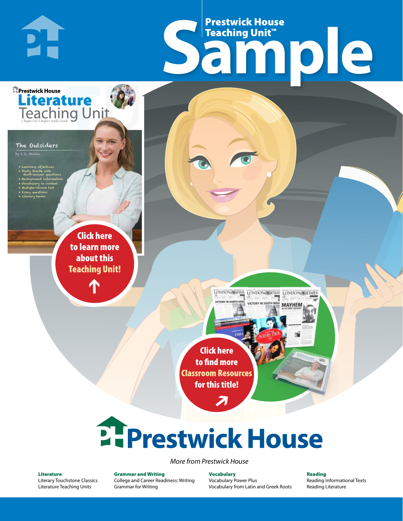# Frestwick House<br>
Sample **Prestwick House**<br>Teaching Unit™ Teaching Unit™

LONDON-SCITME LONDON/SCITME LONDON/SCITMES

MAYHEM

The Outsiders

**E** Prestwick House

**DI-**

by S. E. Hinton

• Learning objectives • Study Guide with short-answer questions • Background information • Vocabulary in context • Multiple-choice test

CHARLES DICKENS

**A Tale of Two Cities**

**Literature** 

• Essay questions • Literary terms

> r e o r d e r n o . x x x x x x Click here to learn more about this [Teaching Unit!](https://www.prestwickhouse.com/pdf/id-200615/Outsiders_The_-_Downloadable_Teaching_Unit)

> > $\mathbf{T}$

1

Click here to find more [Classroom Resources](http://teaching-english.prestwickhouse.com/search#w=the%20outsiders)  for this title!

 $\overline{\boldsymbol{\lambda}}$ 

# **2. Prestwick House**

*More from Prestwick House*

#### Literature

[Literary Touchstone Classics](https://www.prestwickhouse.com/literary-touchstone-classics) [Literature Teaching Units](https://www.prestwickhouse.com/teaching-units)

Grammar and Writing [College and Career Readiness: Writing](https://www.prestwickhouse.com/college-and-career-readiness-writing) [Grammar for Writing](https://www.prestwickhouse.com/book/id-302639/Grammar_for_Writing_-_30_Books_and_Teachers_Edition)

Vocabulary [Vocabulary Power Plus](https://www.prestwickhouse.com/vocabulary-power-plus-for-college-and-career-readiness) [Vocabulary from Latin and Greek Roots](https://www.prestwickhouse.com/vocabulary-from-latin-and-greek-roots) Reading

[Reading Informational Texts](https://www.prestwickhouse.com/reading-informational-texts) [Reading Literature](https://www.prestwickhouse.com/reading-literature)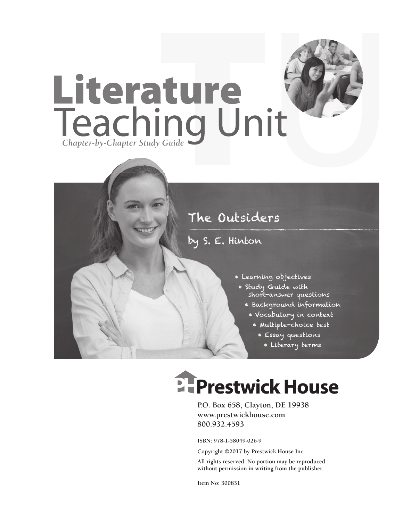

## The Outsiders

### by S. E. Hinton

- Learning objectives
- Study Guide with short-answer questions
	- Background information
		- Vocabulary in context
			- Multiple-choice test
				- Essay questions
					- Literary terms

# **EFPrestwick House**

**P.O. Box 658, Clayton, DE 19938 www.prestwickhouse.com 800.932.4593**

**ISBN: 978-1-58049-026-9**

**Copyright ©2017 by Prestwick House Inc.**

**All rights reserved. No portion may be reproduced without permission in writing from the publisher.** 

**Item No: 300831**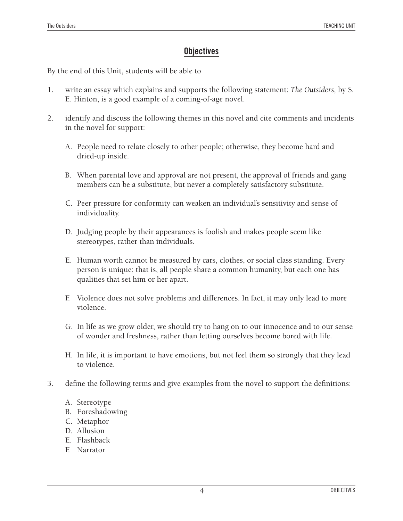#### **Objectives**

By the end of this Unit, students will be able to

- 1. write an essay which explains and supports the following statement: *The Outsiders,* by S. E. Hinton, is a good example of a coming-of-age novel.
- 2. identify and discuss the following themes in this novel and cite comments and incidents in the novel for support:
	- A. People need to relate closely to other people; otherwise, they become hard and dried-up inside.
	- B. When parental love and approval are not present, the approval of friends and gang members can be a substitute, but never a completely satisfactory substitute.
	- C. Peer pressure for conformity can weaken an individual's sensitivity and sense of individuality.
	- D. Judging people by their appearances is foolish and makes people seem like stereotypes, rather than individuals.
	- E. Human worth cannot be measured by cars, clothes, or social class standing. Every person is unique; that is, all people share a common humanity, but each one has qualities that set him or her apart.
	- F. Violence does not solve problems and differences. In fact, it may only lead to more violence.
	- G. In life as we grow older, we should try to hang on to our innocence and to our sense of wonder and freshness, rather than letting ourselves become bored with life.
	- H. In life, it is important to have emotions, but not feel them so strongly that they lead to violence.
- 3. define the following terms and give examples from the novel to support the definitions:
	- A. Stereotype
	- B. Foreshadowing
	- C. Metaphor
	- D. Allusion
	- E. Flashback
	- F. Narrator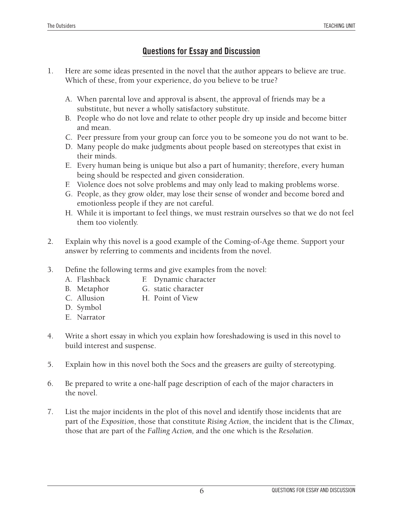#### **Questions for Essay and Discussion**

- 1. Here are some ideas presented in the novel that the author appears to believe are true. Which of these, from your experience, do you believe to be true?
	- A. When parental love and approval is absent, the approval of friends may be a substitute, but never a wholly satisfactory substitute.
	- B. People who do not love and relate to other people dry up inside and become bitter and mean.
	- C. Peer pressure from your group can force you to be someone you do not want to be.
	- D. Many people do make judgments about people based on stereotypes that exist in their minds.
	- E. Every human being is unique but also a part of humanity; therefore, every human being should be respected and given consideration.
	- F. Violence does not solve problems and may only lead to making problems worse.
	- G. People, as they grow older, may lose their sense of wonder and become bored and emotionless people if they are not careful.
	- H. While it is important to feel things, we must restrain ourselves so that we do not feel them too violently.
- 2. Explain why this novel is a good example of the Coming-of-Age theme. Support your answer by referring to comments and incidents from the novel.
- 3. Define the following terms and give examples from the novel:
	- A. Flashback **F.** Dynamic character
	- B. Metaphor G. static character
	- C. Allusion H. Point of View
	- D. Symbol
	- E. Narrator
- 4. Write a short essay in which you explain how foreshadowing is used in this novel to build interest and suspense.
- 5. Explain how in this novel both the Socs and the greasers are guilty of stereotyping.
- 6. Be prepared to write a one-half page description of each of the major characters in the novel.
- 7. List the major incidents in the plot of this novel and identify those incidents that are part of the *Exposition*, those that constitute *Rising Action*, the incident that is the *Climax*, those that are part of the *Falling Action,* and the one which is the *Resolution*.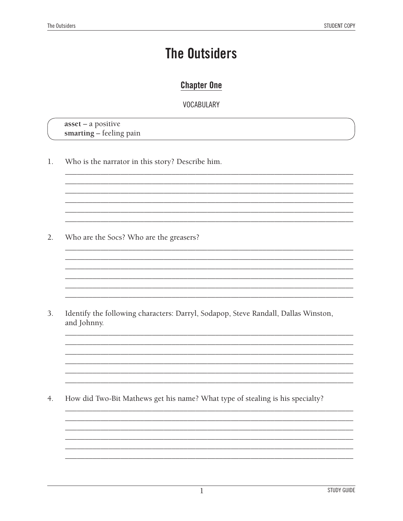## **The Outsiders**

#### **Chapter One**

#### **VOCABULARY**

 $asset - a positive$ smarting - feeling pain

Who is the narrator in this story? Describe him. 1.

 $2.$ Who are the Socs? Who are the greasers?

3. Identify the following characters: Darryl, Sodapop, Steve Randall, Dallas Winston, and Johnny.

the control of the control of the control of the control of the control of

 $4.$ How did Two-Bit Mathews get his name? What type of stealing is his specialty?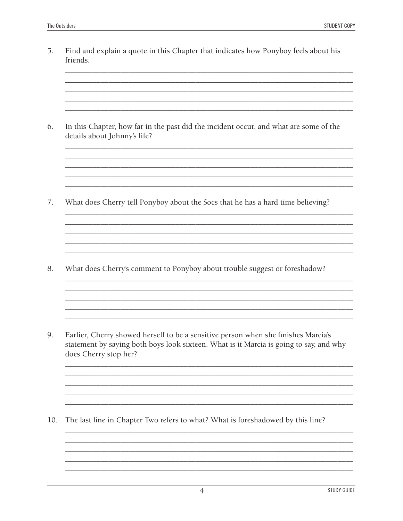5. Find and explain a quote in this Chapter that indicates how Ponyboy feels about his friends.

In this Chapter, how far in the past did the incident occur, and what are some of the 6. details about Johnny's life?

7. What does Cherry tell Ponyboy about the Socs that he has a hard time believing?

and the control of the control of the control of the control of the control of the control of the control of the

8. What does Cherry's comment to Ponyboy about trouble suggest or foreshadow?

9. Earlier, Cherry showed herself to be a sensitive person when she finishes Marcia's statement by saying both boys look sixteen. What is it Marcia is going to say, and why does Cherry stop her?

10. The last line in Chapter Two refers to what? What is foreshadowed by this line?